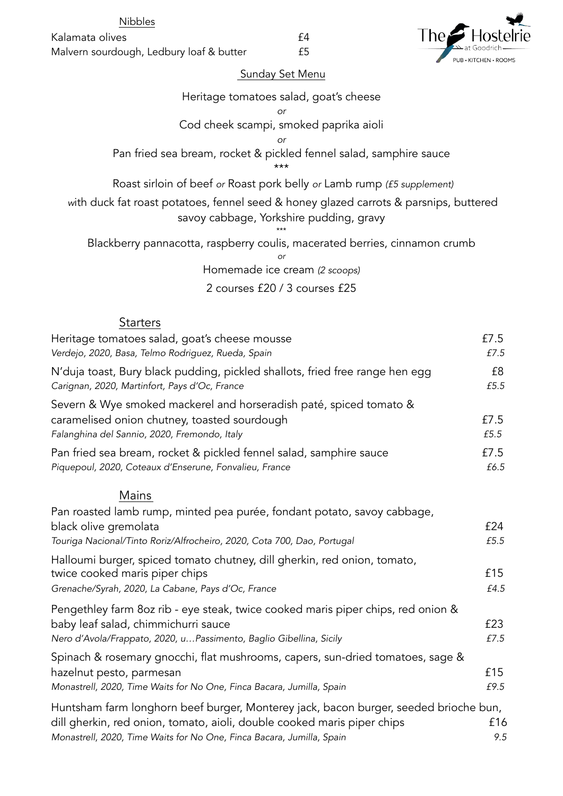Kalamata olives **E4** Malvern sourdough, Ledbury loaf & butter **£5** 

l he KITCHEN · ROOMS

## Sunday Set Menu

N'duja toast, Bury black pudding, pickled shallots, fried free range hen egg **ERIOL**E8 *Carignan, 2020, Martinfort, Pays d'Oc, France £5.5*

Severn & Wye smoked mackerel and horseradish paté, spiced tomato & caramelised onion chutney, toasted sourdough £7.5 *Falanghina del Sannio, 2020, Fremondo, Italy £5.5* Pan fried sea bream, rocket & pickled fennel salad, samphire sauce E7.5

*Verdejo, 2020, Basa, Telmo Rodriguez, Rueda, Spain £7.5*

*Piquepoul, 2020, Coteaux d'Enserune, Fonvalieu, France £6.5*

## Mains

| Pan roasted lamb rump, minted pea purée, fondant potato, savoy cabbage,              |      |
|--------------------------------------------------------------------------------------|------|
| black olive gremolata                                                                | £24  |
| Touriga Nacional/Tinto Roriz/Alfrocheiro, 2020, Cota 700, Dao, Portugal              | £5.5 |
| Halloumi burger, spiced tomato chutney, dill gherkin, red onion, tomato,             |      |
| twice cooked maris piper chips                                                       | £15  |
| Grenache/Syrah, 2020, La Cabane, Pays d'Oc, France                                   | £4.5 |
| Pengethley farm 8oz rib - eye steak, twice cooked maris piper chips, red onion &     |      |
| baby leaf salad, chimmichurri sauce                                                  | £23  |
| Nero d'Avola/Frappato, 2020, uPassimento, Baglio Gibellina, Sicily                   | £7.5 |
| Spinach & rosemary gnocchi, flat mushrooms, capers, sun-dried tomatoes, sage &       |      |
| hazelnut pesto, parmesan                                                             | £15  |
| Monastrell, 2020, Time Waits for No One, Finca Bacara, Jumilla, Spain                | £9.5 |
| Huntsham farm longhorn beef burger, Monterey jack, bacon burger, seeded brioche bun, |      |
| dill aberkin red onion tomato ajoli double cooked maris piper chips                  | f16. |

dill gherkin, red onion, tomato, aioli, double cooked maris piper chips £16 *Monastrell, 2020, Time Waits for No One, Finca Bacara, Jumilla, Spain 9.5*